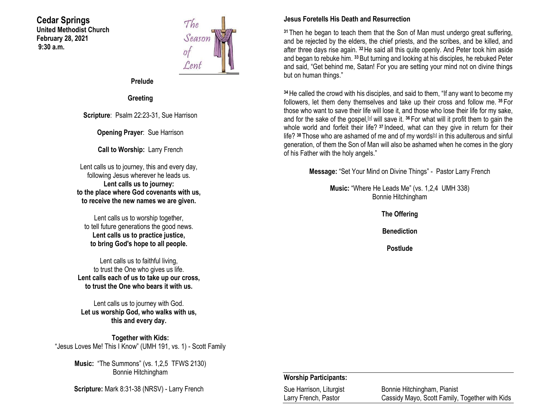## **Cedar Springs United Methodist Church February 28, 2021 9:30 a.m.**



**Prelude**

**Greeting**

**Scripture**: Psalm 22:23-31, Sue Harrison

**Opening Prayer**: Sue Harrison

**Call to Worship:** Larry French

Lent calls us to journey, this and every day, following Jesus wherever he leads us. **Lent calls us to journey: to the place where God covenants with us, to receive the new names we are given.**

Lent calls us to worship together, to tell future generations the good news. **Lent calls us to practice justice, to bring God's hope to all people.**

Lent calls us to faithful living, to trust the One who gives us life. **Lent calls each of us to take up our cross, to trust the One who bears it with us.**

Lent calls us to journey with God. **Let us worship God, who walks with us, this and every day.**

**Together with Kids:** "Jesus Loves Me! This I Know" (UMH 191, vs. 1) - Scott Family

> **Music:** "The Summons" (vs. 1,2,5 TFWS 2130) Bonnie Hitchingham

**Scripture:** Mark 8:31-38 (NRSV) - Larry French

## **Jesus Foretells His Death and Resurrection**

**<sup>31</sup>** Then he began to teach them that the Son of Man must undergo great suffering, and be rejected by the elders, the chief priests, and the scribes, and be killed, and after three days rise again. **<sup>32</sup>**He said all this quite openly. And Peter took him aside and began to rebuke him. **<sup>33</sup>**But turning and looking at his disciples, he rebuked Peter and said, "Get behind me, Satan! For you are setting your mind not on divine things but on human things."

**<sup>34</sup>**He called the crowd with his disciples, and said to them, "If any want to become my followers, let them deny themselves and take up their cross and follow me. **<sup>35</sup>** For those who want to save their life will lose it, and those who lose their life for my sake, and for the sake of the gospel,<sup>[\[a\]](https://www.biblegateway.com/passage/?search=Mark+8%3A31-38&version=NRSV#fen-NRSV-24532a)</sup> will save it. <sup>36</sup> For what will it profit them to gain the whole world and forfeit their life?<sup>37</sup> Indeed, what can they give in return for their life? <sup>38</sup> Those who are ashamed of me and of my words<sup>[\[b\]](https://www.biblegateway.com/passage/?search=Mark+8%3A31-38&version=NRSV#fen-NRSV-24535b)</sup> in this adulterous and sinful generation, of them the Son of Man will also be ashamed when he comes in the glory of his Father with the holy angels."

**Message:** "Set Your Mind on Divine Things" - Pastor Larry French

**Music:** "Where He Leads Me" (vs. 1,2,4 UMH 338) Bonnie Hitchingham

**The Offering**

**Benediction**

**Postlude**

#### **Worship Participants:**

| Sue Harrison, Liturgist | Bonnie Hitchingham, Pianist                    |
|-------------------------|------------------------------------------------|
| Larry French, Pastor    | Cassidy Mayo, Scott Family, Together with Kids |